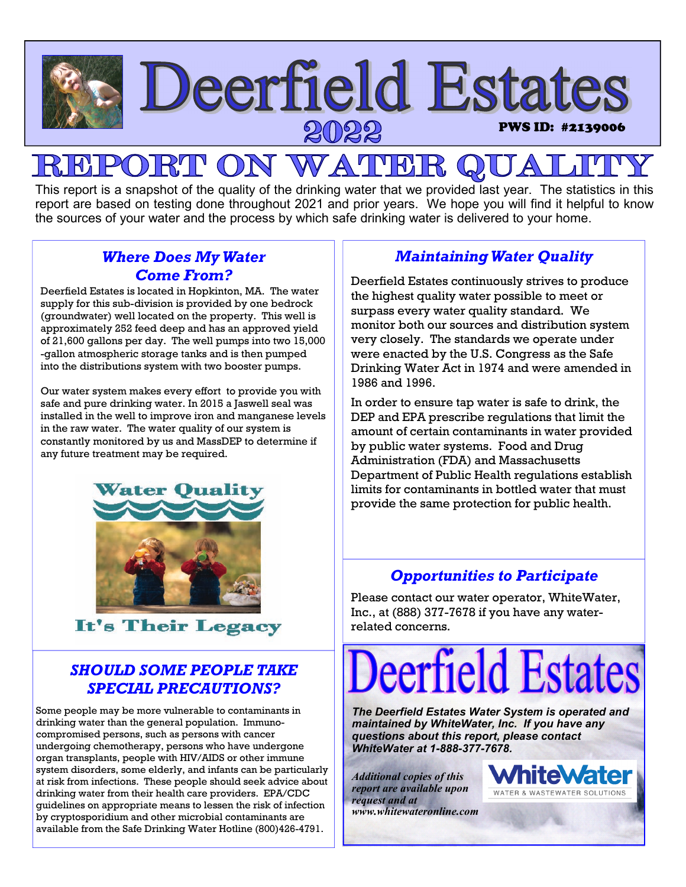

## $R1$ PON WATHE

This report is a snapshot of the quality of the drinking water that we provided last year. The statistics in this report are based on testing done throughout 2021 and prior years. We hope you will find it helpful to know the sources of your water and the process by which safe drinking water is delivered to your home.

## *Where Does My Water Come From?*

Deerfield Estates is located in Hopkinton, MA. The water supply for this sub-division is provided by one bedrock (groundwater) well located on the property. This well is approximately 252 feed deep and has an approved yield of 21,600 gallons per day. The well pumps into two 15,000 -gallon atmospheric storage tanks and is then pumped into the distributions system with two booster pumps.

Our water system makes every effort to provide you with safe and pure drinking water. In 2015 a Jaswell seal was installed in the well to improve iron and manganese levels in the raw water. The water quality of our system is constantly monitored by us and MassDEP to determine if any future treatment may be required.



It's Their Legacy

## *SHOULD SOME PEOPLE TAKE SPECIAL PRECAUTIONS?*

Some people may be more vulnerable to contaminants in drinking water than the general population. Immunocompromised persons, such as persons with cancer undergoing chemotherapy, persons who have undergone organ transplants, people with HIV/AIDS or other immune system disorders, some elderly, and infants can be particularly at risk from infections. These people should seek advice about drinking water from their health care providers. EPA/CDC guidelines on appropriate means to lessen the risk of infection by cryptosporidium and other microbial contaminants are available from the Safe Drinking Water Hotline (800)426-4791.

## *Maintaining Water Quality*

Deerfield Estates continuously strives to produce the highest quality water possible to meet or surpass every water quality standard. We monitor both our sources and distribution system very closely. The standards we operate under were enacted by the U.S. Congress as the Safe Drinking Water Act in 1974 and were amended in 1986 and 1996.

In order to ensure tap water is safe to drink, the DEP and EPA prescribe regulations that limit the amount of certain contaminants in water provided by public water systems. Food and Drug Administration (FDA) and Massachusetts Department of Public Health regulations establish limits for contaminants in bottled water that must provide the same protection for public health.

## *Opportunities to Participate*

Please contact our water operator, WhiteWater, Inc., at (888) 377-7678 if you have any waterrelated concerns.

# eerfield Estat

*The Deerfield Estates Water System is operated and maintained by WhiteWater, Inc. If you have any questions about this report, please contact WhiteWater at 1-888-377-7678.* 

*Additional copies of this report are available upon request and at www.whitewateronline.com* 

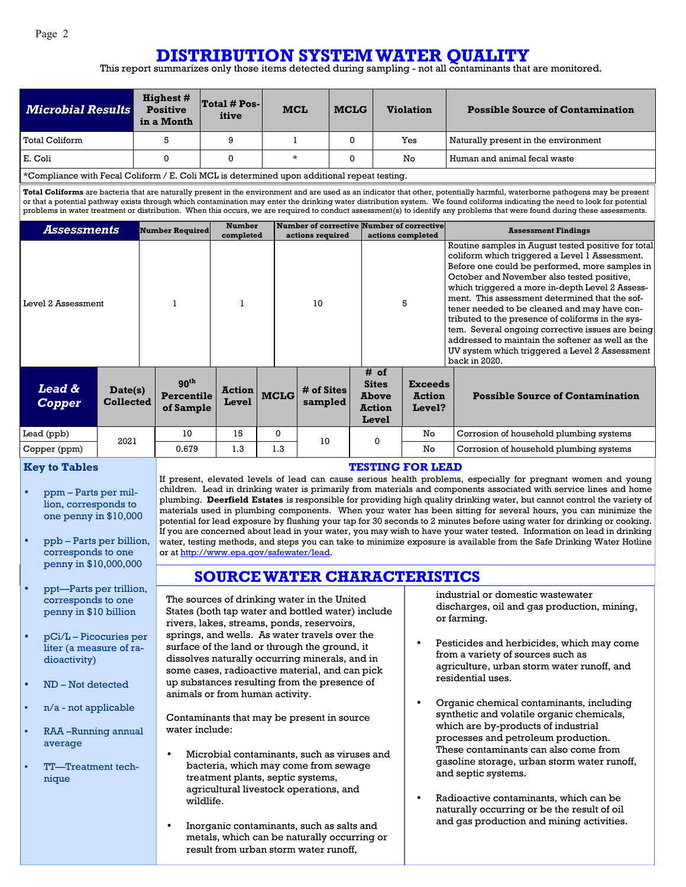## **DISTRIBUTION SYSTEM WATER QUALITY**

This report summarizes only those items detected during sampling - not all contaminants that are monitored.

| <b>Microbial Results</b> | <b>Highest #</b><br><b>Positive</b><br>in a Month | $Total # Pos-$<br>itive | <b>MCL</b> | <b>MCLG</b> | <b>Violation</b> | <b>Possible Source of Contamination</b> |
|--------------------------|---------------------------------------------------|-------------------------|------------|-------------|------------------|-----------------------------------------|
| Total Coliform           |                                                   | 9                       |            |             | Yes              | Naturally present in the environment    |
| E. Coli                  |                                                   | 0                       | $\star$    |             | No               | Human and animal fecal waste            |

\*Compliance with Fecal Coliform / E. Coli MCL is determined upon additional repeat testing.

**Total Coliforms** are bacteria that are naturally present in the environment and are used as an indicator that other, potentially harmful, waterborne pathogens may be present or that a potential pathway exists through which contamination may enter the drinking water distribution system. We found coliforms indicating the need to look for potential problems in water treatment or distribution. When this occurs, we are required to conduct assessment(s) to identify any problems that were found during these assessments.

| Assessments                        |                             | <b>Number Required</b>                      | <b>Number</b><br>completed |             | Number of corrective Number of corrective<br>actions required |                                                                | actions completed                         | <b>Assessment Findings</b>                                                                                                                                                                                                                                                                                                                                                                                                                                                                                                                                                                  |
|------------------------------------|-----------------------------|---------------------------------------------|----------------------------|-------------|---------------------------------------------------------------|----------------------------------------------------------------|-------------------------------------------|---------------------------------------------------------------------------------------------------------------------------------------------------------------------------------------------------------------------------------------------------------------------------------------------------------------------------------------------------------------------------------------------------------------------------------------------------------------------------------------------------------------------------------------------------------------------------------------------|
| Level 2 Assessment                 |                             |                                             |                            |             | 10                                                            | 5                                                              |                                           | Routine samples in August tested positive for total<br>coliform which triggered a Level 1 Assessment.<br>Before one could be performed, more samples in<br>October and November also tested positive,<br>which triggered a more in-depth Level 2 Assess-<br>ment. This assessment determined that the sof-<br>tener needed to be cleaned and may have con-<br>tributed to the presence of coliforms in the sys-<br>tem. Several ongoing corrective issues are being<br>addressed to maintain the softener as well as the<br>UV system which triggered a Level 2 Assessment<br>back in 2020. |
| <b>Lead &amp;</b><br><b>Copper</b> | Date(s)<br><b>Collected</b> | 90 <sup>th</sup><br>Percentile<br>of Sample | <b>Action</b><br>Level     | <b>MCLG</b> | # of Sites<br>sampled                                         | # of<br><b>Sites</b><br><b>Above</b><br><b>Action</b><br>Level | <b>Exceeds</b><br><b>Action</b><br>Level? | <b>Possible Source of Contamination</b>                                                                                                                                                                                                                                                                                                                                                                                                                                                                                                                                                     |
| Lead (ppb)                         | 2021                        | 10                                          | 15                         | 0           | 10                                                            | 0                                                              | No.                                       | Corrosion of household plumbing systems                                                                                                                                                                                                                                                                                                                                                                                                                                                                                                                                                     |
| Copper (ppm)                       |                             | 0.679                                       | 1.3                        | 1.3         |                                                               |                                                                | No                                        | Corrosion of household plumbing systems                                                                                                                                                                                                                                                                                                                                                                                                                                                                                                                                                     |

#### **Key to Tables**

- ppm Parts per million, corresponds to one penny in \$10,000
- ppb Parts per billion, corresponds to one penny in \$10,000,000
- ppt—Parts per trillion, corresponds to one penny in \$10 billion
- pCi/L Picocuries per liter (a measure of radioactivity)
- ND Not detected
- n/a not applicable
- RAA –Running annual average
- TT—Treatment technique

#### **TESTING FOR LEAD**

If present, elevated levels of lead can cause serious health problems, especially for pregnant women and young children. Lead in drinking water is primarily from materials and components associated with service lines and home plumbing. **Deerfield Estates** is responsible for providing high quality drinking water, but cannot control the variety of materials used in plumbing components. When your water has been sitting for several hours, you can minimize the potential for lead exposure by flushing your tap for 30 seconds to 2 minutes before using water for drinking or cooking. If you are concerned about lead in your water, you may wish to have your water tested. Information on lead in drinking water, testing methods, and steps you can take to minimize exposure is available from the Safe Drinking Water Hotline or at http://www.epa.gov/safewater/lead.

### **SOURCE WATER CHARACTERISTICS**

The sources of drinking water in the United States (both tap water and bottled water) include rivers, lakes, streams, ponds, reservoirs, springs, and wells. As water travels over the surface of the land or through the ground, it dissolves naturally occurring minerals, and in some cases, radioactive material, and can pick up substances resulting from the presence of animals or from human activity.

Contaminants that may be present in source water include:

- Microbial contaminants, such as viruses and bacteria, which may come from sewage treatment plants, septic systems, agricultural livestock operations, and wildlife.
- Inorganic contaminants, such as salts and metals, which can be naturally occurring or result from urban storm water runoff,

industrial or domestic wastewater discharges, oil and gas production, mining, or farming.

- Pesticides and herbicides, which may come from a variety of sources such as agriculture, urban storm water runoff, and residential uses.
- Organic chemical contaminants, including synthetic and volatile organic chemicals, which are by-products of industrial processes and petroleum production. These contaminants can also come from gasoline storage, urban storm water runoff, and septic systems.
- Radioactive contaminants, which can be naturally occurring or be the result of oil and gas production and mining activities.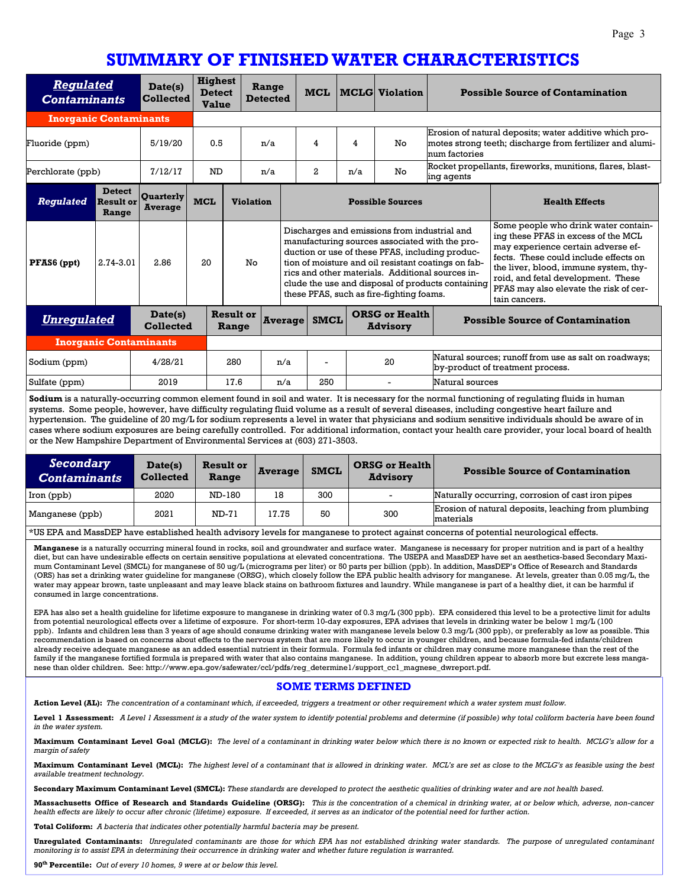## **SUMMARY OF FINISHED WATER CHARACTERISTICS**

| <b>Regulated</b><br><b>Contaminants</b>           |                                            | Date(s)<br><b>Collected</b>        | <b>Highest</b><br><b>Detect</b><br><b>Value</b> |                  | Range<br><b>Detected</b> |                                                                                                                                                                                                                                                                                                                                                               | <b>MCL</b>              |                                                                                                 | <b>MCLG</b> Violation                   |                                                                                                                                     | <b>Possible Source of Contamination</b>                                                                                                                                                                                                                                                              |
|---------------------------------------------------|--------------------------------------------|------------------------------------|-------------------------------------------------|------------------|--------------------------|---------------------------------------------------------------------------------------------------------------------------------------------------------------------------------------------------------------------------------------------------------------------------------------------------------------------------------------------------------------|-------------------------|-------------------------------------------------------------------------------------------------|-----------------------------------------|-------------------------------------------------------------------------------------------------------------------------------------|------------------------------------------------------------------------------------------------------------------------------------------------------------------------------------------------------------------------------------------------------------------------------------------------------|
| <b>Inorganic Contaminants</b>                     |                                            |                                    |                                                 |                  |                          |                                                                                                                                                                                                                                                                                                                                                               |                         |                                                                                                 |                                         |                                                                                                                                     |                                                                                                                                                                                                                                                                                                      |
| Fluoride (ppm)                                    |                                            | 5/19/20                            | 0.5                                             |                  | n/a                      |                                                                                                                                                                                                                                                                                                                                                               | 4                       | 4                                                                                               | No                                      | Erosion of natural deposits; water additive which pro-<br>motes strong teeth; discharge from fertilizer and alumi-<br>num factories |                                                                                                                                                                                                                                                                                                      |
| Perchlorate (ppb)                                 |                                            | 7/12/17                            | N <sub>D</sub>                                  |                  | n/a                      |                                                                                                                                                                                                                                                                                                                                                               | 2                       | n/a                                                                                             | No                                      | ing agents                                                                                                                          | Rocket propellants, fireworks, munitions, flares, blast-                                                                                                                                                                                                                                             |
| <b>Regulated</b>                                  | <b>Detect</b><br><b>Result or</b><br>Range | <b>Quarterly</b><br><b>Average</b> | <b>MCL</b>                                      | <b>Violation</b> |                          |                                                                                                                                                                                                                                                                                                                                                               | <b>Possible Sources</b> |                                                                                                 |                                         |                                                                                                                                     | <b>Health Effects</b>                                                                                                                                                                                                                                                                                |
| PFAS6 (ppt)                                       | 2.74-3.01                                  | 2.86                               | 20                                              | No               |                          | Discharges and emissions from industrial and<br>manufacturing sources associated with the pro-<br>duction or use of these PFAS, including produc-<br>tion of moisture and oil resistant coatings on fab-<br>rics and other materials. Additional sources in-<br>clude the use and disposal of products containing<br>these PFAS, such as fire-fighting foams. |                         |                                                                                                 |                                         |                                                                                                                                     | Some people who drink water contain-<br>ing these PFAS in excess of the MCL<br>may experience certain adverse ef-<br>fects. These could include effects on<br>the liver, blood, immune system, thy-<br>roid, and fetal development. These<br>PFAS may also elevate the risk of cer-<br>tain cancers. |
| Date(s)<br><u>Unregulated</u><br><b>Collected</b> |                                            |                                    | <b>Result or</b><br><b>Average</b><br>Range     |                  |                          | <b>SMCL</b>                                                                                                                                                                                                                                                                                                                                                   |                         | <b>ORSG or Health</b><br><b>Advisory</b>                                                        | <b>Possible Source of Contamination</b> |                                                                                                                                     |                                                                                                                                                                                                                                                                                                      |
| <b>Inorganic Contaminants</b>                     |                                            |                                    |                                                 |                  |                          |                                                                                                                                                                                                                                                                                                                                                               |                         |                                                                                                 |                                         |                                                                                                                                     |                                                                                                                                                                                                                                                                                                      |
| 4/28/21<br>Sodium (ppm)                           |                                            |                                    | 280<br>n/a                                      |                  |                          |                                                                                                                                                                                                                                                                                                                                                               |                         | Natural sources; runoff from use as salt on roadways;<br>20<br>by-product of treatment process. |                                         |                                                                                                                                     |                                                                                                                                                                                                                                                                                                      |
| Sulfate (ppm)                                     |                                            | 2019                               |                                                 | 17.6             | n/a                      |                                                                                                                                                                                                                                                                                                                                                               | 250                     |                                                                                                 |                                         | Natural sources                                                                                                                     |                                                                                                                                                                                                                                                                                                      |

**Sodium** is a naturally-occurring common element found in soil and water. It is necessary for the normal functioning of regulating fluids in human systems. Some people, however, have difficulty regulating fluid volume as a result of several diseases, including congestive heart failure and hypertension. The guideline of 20 mg/L for sodium represents a level in water that physicians and sodium sensitive individuals should be aware of in cases where sodium exposures are being carefully controlled. For additional information, contact your health care provider, your local board of health or the New Hampshire Department of Environmental Services at (603) 271-3503.

| Secondary<br><b>Contaminants</b>                                                                                                        | Date(s)<br><b>Collected</b> | <b>Result or</b><br>Range | Average | <b>SMCL</b> | <b>ORSG or Health</b><br><b>Advisory</b> | <b>Possible Source of Contamination</b>                          |  |  |
|-----------------------------------------------------------------------------------------------------------------------------------------|-----------------------------|---------------------------|---------|-------------|------------------------------------------|------------------------------------------------------------------|--|--|
| Iron (ppb)                                                                                                                              | 2020                        | ND-180                    | 18      | 300         | $\sim$                                   | Naturally occurring, corrosion of cast iron pipes                |  |  |
| Manganese (ppb)                                                                                                                         | 2021                        | ND-71                     | 17.75   | 50          | 300                                      | Erosion of natural deposits, leaching from plumbing<br>materials |  |  |
| er TDI and Mass DPD have established health advisory levels for manegage to pretest against conserve of potential neuralegiaal effects. |                             |                           |         |             |                                          |                                                                  |  |  |

)EP have established health advisory levels for manganese to protect against concerns of potential neurological effects.

**Manganese** is a naturally occurring mineral found in rocks, soil and groundwater and surface water. Manganese is necessary for proper nutrition and is part of a healthy diet, but can have undesirable effects on certain sensitive populations at elevated concentrations. The USEPA and MassDEP have set an aesthetics-based Secondary Maximum Contaminant Level (SMCL) for manganese of 50 ug/L (micrograms per liter) or 50 parts per billion (ppb). In addition, MassDEP's Office of Research and Standards (ORS) has set a drinking water guideline for manganese (ORSG), which closely follow the EPA public health advisory for manganese. At levels, greater than 0.05 mg/L, the water may appear brown, taste unpleasant and may leave black stains on bathroom fixtures and laundry. While manganese is part of a healthy diet, it can be harmful if consumed in large concentrations.

EPA has also set a health guideline for lifetime exposure to manganese in drinking water of 0.3 mg/L (300 ppb). EPA considered this level to be a protective limit for adults from potential neurological effects over a lifetime of exposure. For short-term 10-day exposures, EPA advises that levels in drinking water be below 1 mg/L (100 ppb). Infants and children less than 3 years of age should consume drinking water with manganese levels below 0.3 mg/L (300 ppb), or preferably as low as possible. This recommendation is based on concerns about effects to the nervous system that are more likely to occur in younger children, and because formula-fed infants/children already receive adequate manganese as an added essential nutrient in their formula. Formula fed infants or children may consume more manganese than the rest of the family if the manganese fortified formula is prepared with water that also contains manganese. In addition, young children appear to absorb more but excrete less manganese than older children. See: http://www.epa.gov/safewater/ccl/pdfs/reg\_determine1/support\_cc1\_magnese\_dwreport.pdf.

#### **SOME TERMS DEFINED**

**Action Level (AL):** *The concentration of a contaminant which, if exceeded, triggers a treatment or other requirement which a water system must follow.* 

**Level 1 Assessment:** *A Level 1 Assessment is a study of the water system to identify potential problems and determine (if possible) why total coliform bacteria have been found in the water system.* 

**Maximum Contaminant Level Goal (MCLG):** *The level of a contaminant in drinking water below which there is no known or expected risk to health. MCLG's allow for a margin of safety* 

**Maximum Contaminant Level (MCL):** *The highest level of a contaminant that is allowed in drinking water. MCL's are set as close to the MCLG's as feasible using the best available treatment technology.* 

**Secondary Maximum Contaminant Level (SMCL):** *These standards are developed to protect the aesthetic qualities of drinking water and are not health based.* 

**Massachusetts Office of Research and Standards Guideline (ORSG):** *This is the concentration of a chemical in drinking water, at or below which, adverse, non-cancer health effects are likely to occur after chronic (lifetime) exposure. If exceeded, it serves as an indicator of the potential need for further action.* 

**Total Coliform:** *A bacteria that indicates other potentially harmful bacteria may be present.* 

**Unregulated Contaminants:** *Unregulated contaminants are those for which EPA has not established drinking water standards. The purpose of unregulated contaminant monitoring is to assist EPA in determining their occurrence in drinking water and whether future regulation is warranted.* 

**90th Percentile:** *Out of every 10 homes, 9 were at or below this level.*